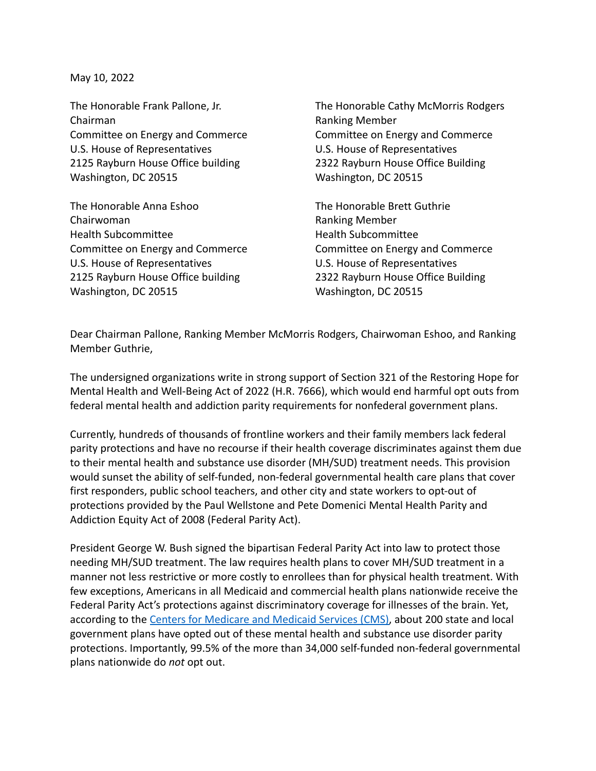May 10, 2022

Chairman **Ranking Member** Ranking Member U.S. House of Representatives U.S. House of Representatives 2125 Rayburn House Office building 2322 Rayburn House Office Building Washington, DC 20515 Washington, DC 20515

The Honorable Anna Eshoo The Honorable Brett Guthrie Chairwoman **Ranking Member** Ranking Member Health Subcommittee Health Subcommittee Committee on Energy and Commerce Committee on Energy and Commerce U.S. House of Representatives U.S. House of Representatives 2125 Rayburn House Office building 2322 Rayburn House Office Building Washington, DC 20515 Washington, DC 20515

The Honorable Frank Pallone, Jr. The Honorable Cathy McMorris Rodgers Committee on Energy and Commerce Committee on Energy and Commerce

Dear Chairman Pallone, Ranking Member McMorris Rodgers, Chairwoman Eshoo, and Ranking Member Guthrie,

The undersigned organizations write in strong support of Section 321 of the Restoring Hope for Mental Health and Well-Being Act of 2022 (H.R. 7666), which would end harmful opt outs from federal mental health and addiction parity requirements for nonfederal government plans.

Currently, hundreds of thousands of frontline workers and their family members lack federal parity protections and have no recourse if their health coverage discriminates against them due to their mental health and substance use disorder (MH/SUD) treatment needs. This provision would sunset the ability of self-funded, non-federal governmental health care plans that cover first responders, public school teachers, and other city and state workers to opt-out of protections provided by the Paul Wellstone and Pete Domenici Mental Health Parity and Addiction Equity Act of 2008 (Federal Parity Act).

President George W. Bush signed the bipartisan Federal Parity Act into law to protect those needing MH/SUD treatment. The law requires health plans to cover MH/SUD treatment in a manner not less restrictive or more costly to enrollees than for physical health treatment. With few exceptions, Americans in all Medicaid and commercial health plans nationwide receive the Federal Parity Act's protections against discriminatory coverage for illnesses of the brain. Yet, according to the [Centers for Medicare and Medicaid](https://urldefense.com/v3/__https:/www.cms.gov/files/document/hipaaoptouts03182021.pdf__;!!Bg5easoyC-OII2vlEqY8mTBrtW-N4OJKAQ!cTDi1tZ-QHQonb2L6eTLCdRc5GFgMKh9n8ebgr8filpEJdGnOp_UkcwM2SzdhjosRI6SyK2N$) Services (CMS), about 200 state and local government plans have opted out of these mental health and substance use disorder parity protections. Importantly, 99.5% of the more than 34,000 self-funded non-federal governmental plans nationwide do *not* opt out.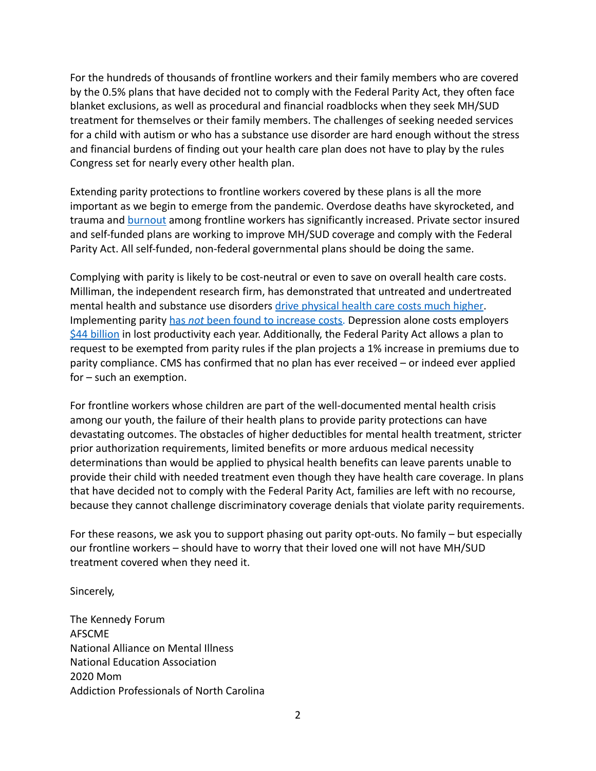For the hundreds of thousands of frontline workers and their family members who are covered by the 0.5% plans that have decided not to comply with the Federal Parity Act, they often face blanket exclusions, as well as procedural and financial roadblocks when they seek MH/SUD treatment for themselves or their family members. The challenges of seeking needed services for a child with autism or who has a substance use disorder are hard enough without the stress and financial burdens of finding out your health care plan does not have to play by the rules Congress set for nearly every other health plan.

Extending parity protections to frontline workers covered by these plans is all the more important as we begin to emerge from the pandemic. Overdose deaths have skyrocketed, and trauma and [burnout](https://www.route-fifty.com/management/2020/12/burnout-crisis-hits-government/170966/) among frontline workers has significantly increased. Private sector insured and self-funded plans are working to improve MH/SUD coverage and comply with the Federal Parity Act. All self-funded, non-federal governmental plans should be doing the same.

Complying with parity is likely to be cost-neutral or even to save on overall health care costs. Milliman, the independent research firm, has demonstrated that untreated and undertreated mental health and substance use disorders drive physical health care [costs much higher.](https://www.milliman.com/-/media/milliman/pdfs/articles/milliman-high-cost-patient-study-2020.ashx) Implementing parity has *not* [been found to increase](https://www.healthaffairs.org/doi/abs/10.1377/hlthaff.25.3.623) costs. Depression alone costs employers [\\$44 billion](https://workplacementalhealth.org/making-the-business-case) in lost productivity each year. Additionally, the Federal Parity Act allows a plan to request to be exempted from parity rules if the plan projects a 1% increase in premiums due to parity compliance. CMS has confirmed that no plan has ever received – or indeed ever applied for – such an exemption.

For frontline workers whose children are part of the well-documented mental health crisis among our youth, the failure of their health plans to provide parity protections can have devastating outcomes. The obstacles of higher deductibles for mental health treatment, stricter prior authorization requirements, limited benefits or more arduous medical necessity determinations than would be applied to physical health benefits can leave parents unable to provide their child with needed treatment even though they have health care coverage. In plans that have decided not to comply with the Federal Parity Act, families are left with no recourse, because they cannot challenge discriminatory coverage denials that violate parity requirements.

For these reasons, we ask you to support phasing out parity opt-outs. No family – but especially our frontline workers – should have to worry that their loved one will not have MH/SUD treatment covered when they need it.

Sincerely,

The Kennedy Forum AFSCME National Alliance on Mental Illness National Education Association 2020 Mom Addiction Professionals of North Carolina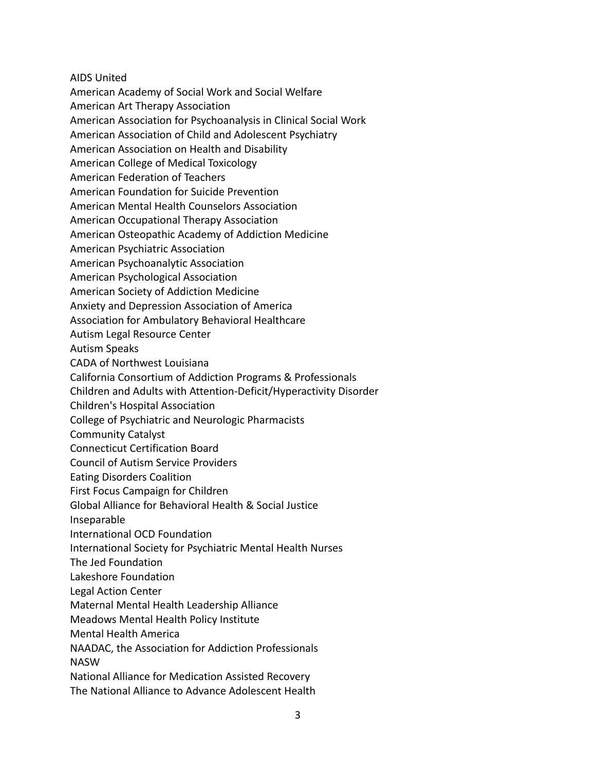AIDS United

American Academy of Social Work and Social Welfare

American Art Therapy Association

American Association for Psychoanalysis in Clinical Social Work

American Association of Child and Adolescent Psychiatry

American Association on Health and Disability

American College of Medical Toxicology

American Federation of Teachers

American Foundation for Suicide Prevention

American Mental Health Counselors Association

American Occupational Therapy Association

American Osteopathic Academy of Addiction Medicine

American Psychiatric Association

American Psychoanalytic Association

American Psychological Association

American Society of Addiction Medicine

Anxiety and Depression Association of America

Association for Ambulatory Behavioral Healthcare

Autism Legal Resource Center

Autism Speaks

CADA of Northwest Louisiana

California Consortium of Addiction Programs & Professionals

Children and Adults with Attention-Deficit/Hyperactivity Disorder

Children's Hospital Association

College of Psychiatric and Neurologic Pharmacists

Community Catalyst

Connecticut Certification Board

Council of Autism Service Providers

- Eating Disorders Coalition
- First Focus Campaign for Children

Global Alliance for Behavioral Health & Social Justice

Inseparable

International OCD Foundation

International Society for Psychiatric Mental Health Nurses

The Jed Foundation

Lakeshore Foundation

Legal Action Center

Maternal Mental Health Leadership Alliance

Meadows Mental Health Policy Institute

Mental Health America

NAADAC, the Association for Addiction Professionals NASW

National Alliance for Medication Assisted Recovery

The National Alliance to Advance Adolescent Health